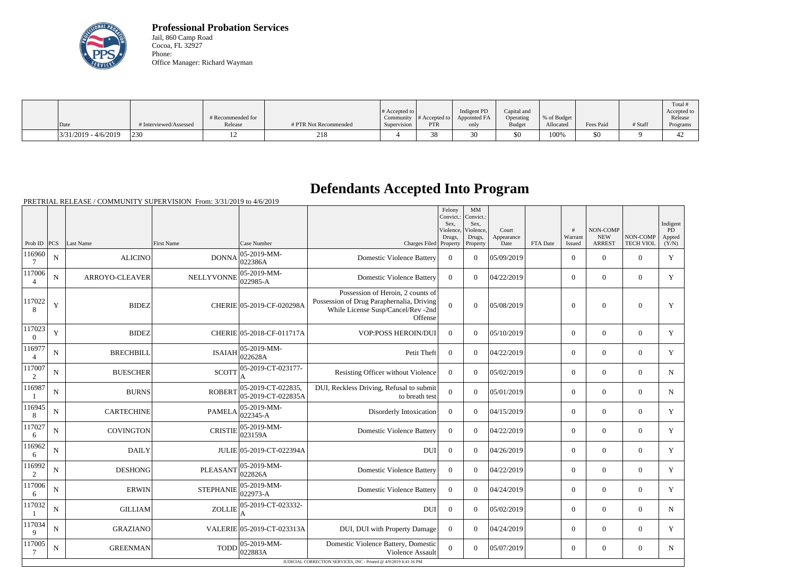

**Professional Probation Services** Jail, 860 Camp Road Cocoa, FL 32927 Phone: Office Manager: Richard Wayman

|                          |                        |                   |                       |                       |               |              |               |             |           |         | Total #            |
|--------------------------|------------------------|-------------------|-----------------------|-----------------------|---------------|--------------|---------------|-------------|-----------|---------|--------------------|
|                          |                        |                   |                       | # Accepted to $\vert$ |               | Indigent PD  | Capital and   |             |           |         | Accepted to        |
|                          |                        | # Recommended for |                       | Community             | # Accepted to | Appointed FA | Operating     | % of Budget |           |         | Release            |
| Date                     | # Interviewed/Assessed | Release           | # PTR Not Recommended | Supervision           | <b>PTR</b>    | only         | <b>Budget</b> | Allocated   | Fees Paid | # Staff | Programs           |
| $ 3/31/2019 - 4/6/2019 $ | 230                    |                   | 218                   |                       | 38            |              | \$0           | 100%        | \$0       |         | $\sqrt{2}$<br>$+2$ |

## **Defendants Accepted Into Program**

PRETRIAL RELEASE / COMMUNITY SUPERVISION From: 3/31/2019 to 4/6/2019

|                          |             |                       |                   |                                          |                                                                                                                                 | Felony<br>Convict.:<br>Sex.<br>Violence,<br>Drugs, | MM<br>Convict.:<br>Sex,<br>Violence.<br>Drugs, | Court<br>Appearance |          | #<br>Warrant   | NON-COMP<br><b>NEW</b> | NON-COMP         | Indigent<br>PD<br>Appted |
|--------------------------|-------------|-----------------------|-------------------|------------------------------------------|---------------------------------------------------------------------------------------------------------------------------------|----------------------------------------------------|------------------------------------------------|---------------------|----------|----------------|------------------------|------------------|--------------------------|
| Prob ID                  | PCS         | Last Name             | <b>First Name</b> | Case Number                              | Charges Filed Property                                                                                                          |                                                    | Property                                       | Date                | FTA Date | Issued         | <b>ARREST</b>          | <b>TECH VIOL</b> | (Y/N)                    |
| 116960                   | $\mathbf N$ | <b>ALICINO</b>        | <b>DONNA</b>      | 05-2019-MM-<br>022386A                   | <b>Domestic Violence Battery</b>                                                                                                | $\overline{0}$                                     | $\overline{0}$                                 | 05/09/2019          |          | $\overline{0}$ | $\overline{0}$         | $\overline{0}$   | Y                        |
| 117006<br>$\overline{4}$ | ${\bf N}$   | <b>ARROYO-CLEAVER</b> | <b>NELLYVONNE</b> | 05-2019-MM-<br>022985-A                  | <b>Domestic Violence Battery</b>                                                                                                | $\Omega$                                           | $\theta$                                       | 04/22/2019          |          | $\overline{0}$ | $\theta$               | $\overline{0}$   | Y                        |
| 117022<br>8              | Y           | <b>BIDEZ</b>          |                   | CHERIE 05-2019-CF-020298A                | Possession of Heroin, 2 counts of<br>Possession of Drug Paraphernalia, Driving<br>While License Susp/Cancel/Rev -2nd<br>Offense | $\Omega$                                           | $\Omega$                                       | 05/08/2019          |          | $\overline{0}$ | $\mathbf{0}$           | $\overline{0}$   | Y                        |
| 117023<br>$\theta$       | Y           | <b>BIDEZ</b>          |                   | CHERIE 05-2018-CF-011717A                | <b>VOP:POSS HEROIN/DUI</b>                                                                                                      | $\mathbf{0}$                                       | $\theta$                                       | 05/10/2019          |          | $\overline{0}$ | $\overline{0}$         | $\overline{0}$   | $\mathbf Y$              |
| 116977<br>$\overline{4}$ | ${\bf N}$   | <b>BRECHBILL</b>      | <b>ISAIAH</b>     | 05-2019-MM-<br>022628A                   | Petit Theft                                                                                                                     | $\theta$                                           | $\theta$                                       | 04/22/2019          |          | $\overline{0}$ | $\theta$               | $\overline{0}$   | Y                        |
| 117007<br>2              | $\mathbf N$ | <b>BUESCHER</b>       | <b>SCOTT</b>      | 05-2019-CT-023177-                       | Resisting Officer without Violence                                                                                              | $\theta$                                           | $\theta$                                       | 05/02/2019          |          | $\overline{0}$ | $\overline{0}$         | $\overline{0}$   | $\mathbf N$              |
| 116987                   | $\mathbf N$ | <b>BURNS</b>          | <b>ROBERT</b>     | 05-2019-CT-022835,<br>05-2019-CT-022835A | DUI, Reckless Driving, Refusal to submit<br>to breath test                                                                      | $\overline{0}$                                     | $\overline{0}$                                 | 05/01/2019          |          | $\overline{0}$ | $\overline{0}$         | $\overline{0}$   | $\mathbf N$              |
| 116945<br>8              | ${\bf N}$   | <b>CARTECHINE</b>     | <b>PAMELA</b>     | 05-2019-MM-<br>022345-A                  | Disorderly Intoxication                                                                                                         | $\overline{0}$                                     | $\theta$                                       | 04/15/2019          |          | $\overline{0}$ | $\theta$               | $\overline{0}$   | Y                        |
| 117027<br>6              | ${\bf N}$   | <b>COVINGTON</b>      | <b>CRISTIE</b>    | 05-2019-MM-<br>023159A                   | <b>Domestic Violence Battery</b>                                                                                                | $\overline{0}$                                     | $\theta$                                       | 04/22/2019          |          | $\overline{0}$ | $\overline{0}$         | $\overline{0}$   | Y                        |
| 116962<br>6              | ${\bf N}$   | <b>DAILY</b>          |                   | JULIE 05-2019-CT-022394A                 | <b>DUI</b>                                                                                                                      | $\overline{0}$                                     | $\overline{0}$                                 | 04/26/2019          |          | $\overline{0}$ | $\overline{0}$         | $\overline{0}$   | $\mathbf Y$              |
| 116992<br>2              | ${\bf N}$   | <b>DESHONG</b>        | <b>PLEASANT</b>   | 05-2019-MM-<br>022826A                   | <b>Domestic Violence Battery</b>                                                                                                | $\overline{0}$                                     | $\Omega$                                       | 04/22/2019          |          | $\overline{0}$ | $\boldsymbol{0}$       | $\overline{0}$   | Y                        |
| 117006<br>6              | $\mathbf N$ | <b>ERWIN</b>          | <b>STEPHANIE</b>  | 05-2019-MM-<br>022973-A                  | <b>Domestic Violence Battery</b>                                                                                                | $\overline{0}$                                     | $\overline{0}$                                 | 04/24/2019          |          | $\overline{0}$ | $\theta$               | $\overline{0}$   | Y                        |
| 117032<br>-1             | $\mathbf N$ | <b>GILLIAM</b>        | <b>ZOLLIE</b>     | 05-2019-CT-023332-<br>A                  | <b>DUI</b>                                                                                                                      | $\overline{0}$                                     | $\theta$                                       | 05/02/2019          |          | $\overline{0}$ | $\overline{0}$         | $\overline{0}$   | $N_{\rm}$                |
| 117034<br>9              | $\mathbf N$ | <b>GRAZIANO</b>       |                   | VALERIE 05-2019-CT-023313A               | DUI, DUI with Property Damage                                                                                                   | $\overline{0}$                                     | $\theta$                                       | 04/24/2019          |          | $\overline{0}$ | $\theta$               | $\overline{0}$   | Y                        |
| 117005<br>7              | ${\bf N}$   | <b>GREENMAN</b>       | <b>TODD</b>       | $ 05-2019-MM-$<br>022883A                | Domestic Violence Battery, Domestic<br>Violence Assault                                                                         | $\mathbf{0}$                                       | $\theta$                                       | 05/07/2019          |          | $\overline{0}$ | $\overline{0}$         | $\overline{0}$   | $N_{\rm}$                |
|                          |             |                       |                   |                                          | JUDICIAL CORRECTION SERVICES, INC - Printed @ 4/9/2019 4:41:16 PM                                                               |                                                    |                                                |                     |          |                |                        |                  |                          |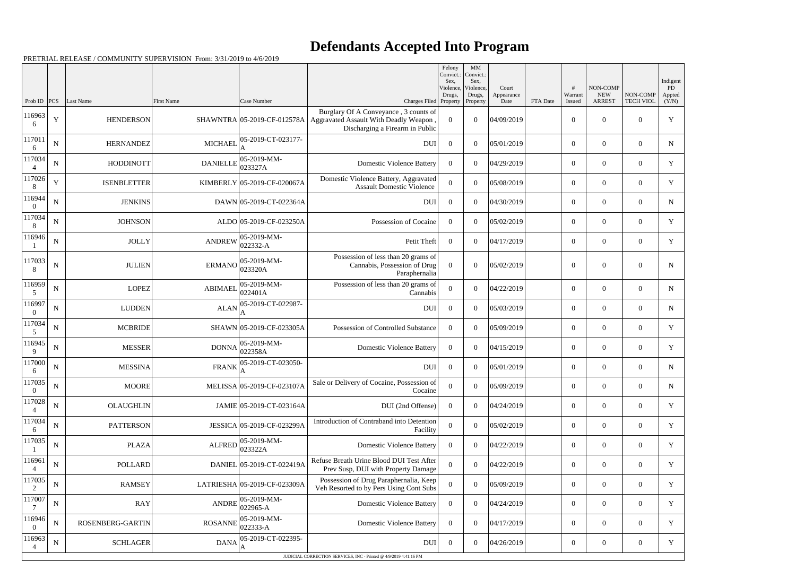## **Defendants Accepted Into Program**

PRETRIAL RELEASE / COMMUNITY SUPERVISION From: 3/31/2019 to 4/6/2019

|                          |             |                    |                   |                              |                                                                                                                   | Felony<br>Convict.:<br>Sex. | $\mathbf{M}\mathbf{M}$<br>Convict.:<br>Sex, |                             |          |                   |                                         |                              | Indigent              |
|--------------------------|-------------|--------------------|-------------------|------------------------------|-------------------------------------------------------------------------------------------------------------------|-----------------------------|---------------------------------------------|-----------------------------|----------|-------------------|-----------------------------------------|------------------------------|-----------------------|
| Prob ID                  | PCS         | Last Name          | <b>First Name</b> | Case Number                  | Charges Filed Property                                                                                            | Violence,<br>Drugs,         | Violence,<br>Drugs,<br>Property             | Court<br>Appearance<br>Date | FTA Date | Warrant<br>Issued | NON-COMP<br><b>NEW</b><br><b>ARREST</b> | NON-COMP<br><b>TECH VIOL</b> | PD<br>Appted<br>(Y/N) |
| 116963<br>6              | $\mathbf Y$ | <b>HENDERSON</b>   |                   | SHAWNTRA 05-2019-CF-012578A  | Burglary Of A Conveyance, 3 counts of<br>Aggravated Assault With Deadly Weapon<br>Discharging a Firearm in Public | $\boldsymbol{0}$            | $\overline{0}$                              | 04/09/2019                  |          | $\boldsymbol{0}$  | $\overline{0}$                          | $\overline{0}$               | Y                     |
| 117011<br>6              | $\mathbf N$ | <b>HERNANDEZ</b>   | <b>MICHAEL</b>    | 05-2019-CT-023177-           | <b>DUI</b>                                                                                                        | $\overline{0}$              | $\theta$                                    | 05/01/2019                  |          | $\overline{0}$    | $\overline{0}$                          | $\overline{0}$               | $\mathbf N$           |
| 117034<br>$\overline{4}$ | ${\bf N}$   | <b>HODDINOTT</b>   | <b>DANIELLE</b>   | 05-2019-MM-<br>023327A       | <b>Domestic Violence Battery</b>                                                                                  | $\Omega$                    | $\theta$                                    | 04/29/2019                  |          | $\overline{0}$    | $\overline{0}$                          | $\overline{0}$               | Y                     |
| 117026<br>8              | $\mathbf Y$ | <b>ISENBLETTER</b> |                   | KIMBERLY 05-2019-CF-020067A  | Domestic Violence Battery, Aggravated<br><b>Assault Domestic Violence</b>                                         | $\boldsymbol{0}$            | $\overline{0}$                              | 05/08/2019                  |          | $\overline{0}$    | $\overline{0}$                          | $\overline{0}$               | $\mathbf Y$           |
| 116944<br>$\Omega$       | ${\bf N}$   | <b>JENKINS</b>     |                   | DAWN 05-2019-CT-022364A      | <b>DUI</b>                                                                                                        | $\overline{0}$              | $\theta$                                    | 04/30/2019                  |          | $\overline{0}$    | $\theta$                                | $\overline{0}$               | N                     |
| 117034<br>8              | $\mathbf N$ | <b>JOHNSON</b>     |                   | ALDO 05-2019-CF-023250A      | Possession of Cocaine                                                                                             | $\Omega$                    | $\theta$                                    | 05/02/2019                  |          | $\overline{0}$    | $\overline{0}$                          | $\overline{0}$               | Y                     |
| 116946                   | ${\bf N}$   | <b>JOLLY</b>       | <b>ANDREW</b>     | 05-2019-MM-<br>022332-A      | Petit Theft                                                                                                       | $\overline{0}$              | $\overline{0}$                              | 04/17/2019                  |          | $\overline{0}$    | $\overline{0}$                          | $\overline{0}$               | $\mathbf Y$           |
| 117033<br>8              | $\mathbf N$ | <b>JULIEN</b>      | ERMANO            | 05-2019-MM-<br>023320A       | Possession of less than 20 grams of<br>Cannabis, Possession of Drug<br>Paraphernalia                              | $\overline{0}$              | $\Omega$                                    | 05/02/2019                  |          | $\overline{0}$    | $\overline{0}$                          | $\overline{0}$               | $\mathbf N$           |
| 116959<br>5              | ${\bf N}$   | <b>LOPEZ</b>       | <b>ABIMAEL</b>    | 05-2019-MM-<br>022401A       | Possession of less than 20 grams of<br>Cannabis                                                                   | $\boldsymbol{0}$            | $\Omega$                                    | 04/22/2019                  |          | $\overline{0}$    | $\overline{0}$                          | $\overline{0}$               | $\mathbf N$           |
| 116997<br>$\theta$       | ${\bf N}$   | <b>LUDDEN</b>      | <b>ALAN</b>       | 05-2019-CT-022987-           | <b>DUI</b>                                                                                                        | $\overline{0}$              | $\theta$                                    | 05/03/2019                  |          | $\overline{0}$    | $\overline{0}$                          | $\overline{0}$               | ${\bf N}$             |
| 117034<br>5              | ${\bf N}$   | <b>MCBRIDE</b>     |                   | SHAWN 05-2019-CF-023305A     | Possession of Controlled Substance                                                                                | $\overline{0}$              | $\overline{0}$                              | 05/09/2019                  |          | $\overline{0}$    | $\overline{0}$                          | $\overline{0}$               | $\mathbf Y$           |
| 116945<br>9              | ${\bf N}$   | <b>MESSER</b>      | <b>DONNA</b>      | 05-2019-MM-<br>022358A       | <b>Domestic Violence Battery</b>                                                                                  | $\overline{0}$              | $\overline{0}$                              | 04/15/2019                  |          | $\overline{0}$    | $\overline{0}$                          | $\overline{0}$               | Y                     |
| 117000<br>6              | ${\bf N}$   | <b>MESSINA</b>     | <b>FRANK</b>      | 05-2019-CT-023050-           | <b>DUI</b>                                                                                                        | $\overline{0}$              | $\boldsymbol{0}$                            | 05/01/2019                  |          | $\overline{0}$    | $\overline{0}$                          | $\overline{0}$               | $\mathbf N$           |
| 117035<br>$\overline{0}$ | ${\bf N}$   | <b>MOORE</b>       |                   | MELISSA 05-2019-CF-023107A   | Sale or Delivery of Cocaine, Possession of<br>Cocaine                                                             | $\boldsymbol{0}$            | $\boldsymbol{0}$                            | 05/09/2019                  |          | $\boldsymbol{0}$  | $\overline{0}$                          | $\overline{0}$               | $\mathbf N$           |
| 117028<br>$\overline{4}$ | ${\bf N}$   | <b>OLAUGHLIN</b>   |                   | JAMIE 05-2019-CT-023164A     | DUI (2nd Offense)                                                                                                 | $\overline{0}$              | $\overline{0}$                              | 04/24/2019                  |          | $\overline{0}$    | $\overline{0}$                          | $\overline{0}$               | Y                     |
| 117034<br>6              | $\mathbf N$ | <b>PATTERSON</b>   |                   | JESSICA 05-2019-CF-023299A   | Introduction of Contraband into Detention<br>Facility                                                             | $\boldsymbol{0}$            | $\overline{0}$                              | 05/02/2019                  |          | $\overline{0}$    | $\boldsymbol{0}$                        | $\boldsymbol{0}$             | Y                     |
| 117035                   | ${\bf N}$   | <b>PLAZA</b>       | <b>ALFRED</b>     | 05-2019-MM-<br>023322A       | <b>Domestic Violence Battery</b>                                                                                  | $\overline{0}$              | $\boldsymbol{0}$                            | 04/22/2019                  |          | $\overline{0}$    | $\overline{0}$                          | $\overline{0}$               | $\mathbf Y$           |
| 116961                   | $\mathbf N$ | <b>POLLARD</b>     |                   | DANIEL 05-2019-CT-022419A    | Refuse Breath Urine Blood DUI Test After<br>Prev Susp, DUI with Property Damage                                   | $\overline{0}$              | $\overline{0}$                              | 04/22/2019                  |          | $\overline{0}$    | $\overline{0}$                          | $\boldsymbol{0}$             | Y                     |
| 117035<br>2              | ${\bf N}$   | <b>RAMSEY</b>      |                   | LATRIESHA 05-2019-CF-023309A | Possession of Drug Paraphernalia, Keep<br>Veh Resorted to by Pers Using Cont Subs                                 | $\theta$                    | $\boldsymbol{0}$                            | 05/09/2019                  |          | $\overline{0}$    | $\overline{0}$                          | $\overline{0}$               | Y                     |
| 117007                   | $\mathbf N$ | <b>RAY</b>         | <b>ANDRE</b>      | 05-2019-MM-<br>$022965 - A$  | <b>Domestic Violence Battery</b>                                                                                  | $\overline{0}$              | $\overline{0}$                              | 04/24/2019                  |          | $\overline{0}$    | $\boldsymbol{0}$                        | $\boldsymbol{0}$             | Y                     |
| 116946<br>$\overline{0}$ | ${\bf N}$   | ROSENBERG-GARTIN   | <b>ROSANNE</b>    | 05-2019-MM-<br>022333-A      | <b>Domestic Violence Battery</b>                                                                                  | $\overline{0}$              | $\boldsymbol{0}$                            | 04/17/2019                  |          | $\overline{0}$    | $\overline{0}$                          | $\boldsymbol{0}$             | $\mathbf Y$           |
| 116963                   | $\mathbf N$ | <b>SCHLAGER</b>    | <b>DANA</b>       | 05-2019-CT-022395-           | <b>DUI</b>                                                                                                        | $\overline{0}$              | $\overline{0}$                              | 04/26/2019                  |          | $\boldsymbol{0}$  | $\overline{0}$                          | $\boldsymbol{0}$             | Y                     |
|                          |             |                    |                   |                              | JUDICIAL CORRECTION SERVICES, INC - Printed @ 4/9/2019 4:41:16 PM                                                 |                             |                                             |                             |          |                   |                                         |                              |                       |